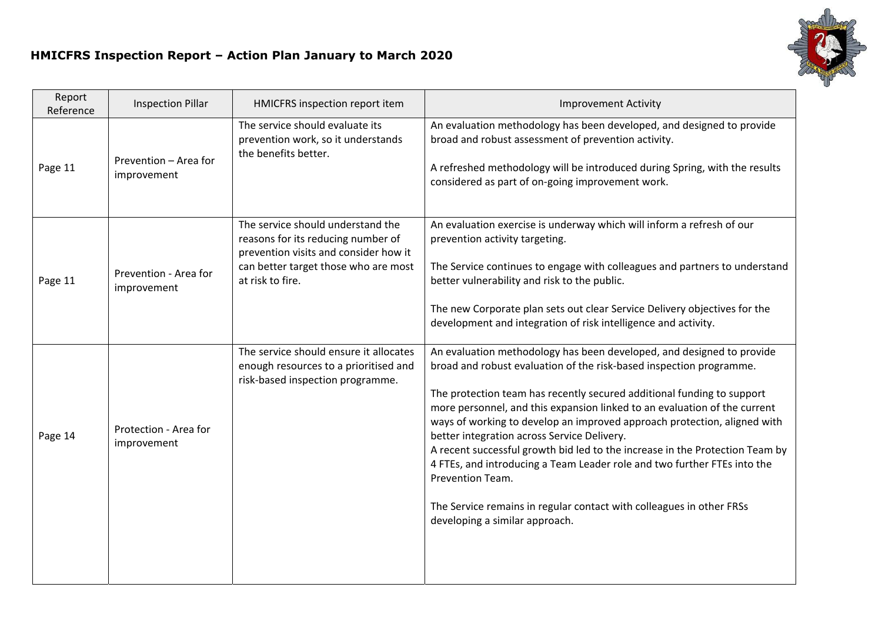## **HMICFRS Inspection Report – Action Plan January to March 2020**



| Report<br>Reference | <b>Inspection Pillar</b>             | HMICFRS inspection report item                                                                                                                                               | <b>Improvement Activity</b>                                                                                                                                                                                                                                                                                                                                                                                                                                                                                                                                                                                                                                                                                              |
|---------------------|--------------------------------------|------------------------------------------------------------------------------------------------------------------------------------------------------------------------------|--------------------------------------------------------------------------------------------------------------------------------------------------------------------------------------------------------------------------------------------------------------------------------------------------------------------------------------------------------------------------------------------------------------------------------------------------------------------------------------------------------------------------------------------------------------------------------------------------------------------------------------------------------------------------------------------------------------------------|
| Page 11             | Prevention - Area for<br>improvement | The service should evaluate its<br>prevention work, so it understands<br>the benefits better.                                                                                | An evaluation methodology has been developed, and designed to provide<br>broad and robust assessment of prevention activity.<br>A refreshed methodology will be introduced during Spring, with the results<br>considered as part of on-going improvement work.                                                                                                                                                                                                                                                                                                                                                                                                                                                           |
| Page 11             | Prevention - Area for<br>improvement | The service should understand the<br>reasons for its reducing number of<br>prevention visits and consider how it<br>can better target those who are most<br>at risk to fire. | An evaluation exercise is underway which will inform a refresh of our<br>prevention activity targeting.<br>The Service continues to engage with colleagues and partners to understand<br>better vulnerability and risk to the public.<br>The new Corporate plan sets out clear Service Delivery objectives for the<br>development and integration of risk intelligence and activity.                                                                                                                                                                                                                                                                                                                                     |
| Page 14             | Protection - Area for<br>improvement | The service should ensure it allocates<br>enough resources to a prioritised and<br>risk-based inspection programme.                                                          | An evaluation methodology has been developed, and designed to provide<br>broad and robust evaluation of the risk-based inspection programme.<br>The protection team has recently secured additional funding to support<br>more personnel, and this expansion linked to an evaluation of the current<br>ways of working to develop an improved approach protection, aligned with<br>better integration across Service Delivery.<br>A recent successful growth bid led to the increase in the Protection Team by<br>4 FTEs, and introducing a Team Leader role and two further FTEs into the<br>Prevention Team.<br>The Service remains in regular contact with colleagues in other FRSs<br>developing a similar approach. |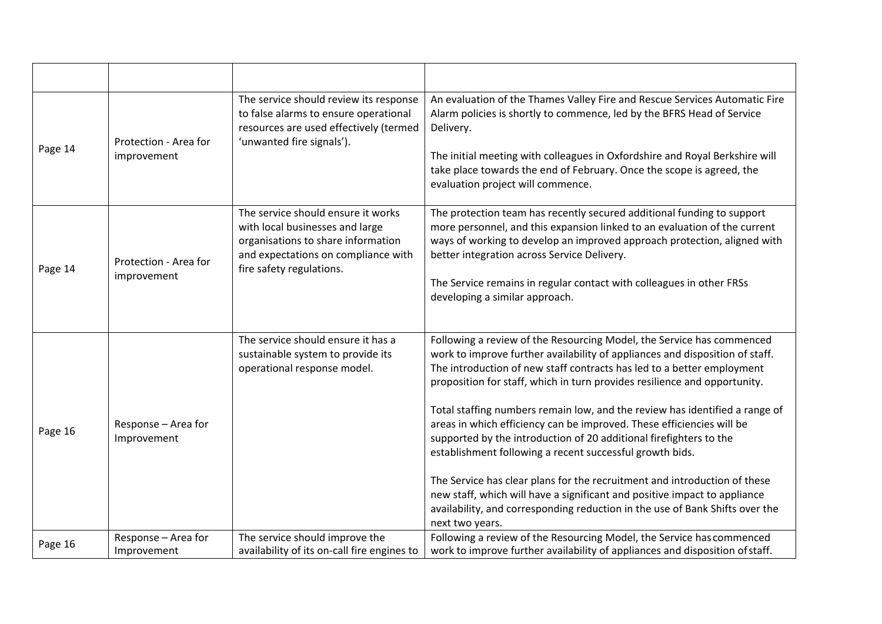| Page 14 | Protection - Area for<br>improvement | The service should review its response<br>to false alarms to ensure operational<br>resources are used effectively (termed<br>'unwanted fire signals').                         | An evaluation of the Thames Valley Fire and Rescue Services Automatic Fire<br>Alarm policies is shortly to commence, led by the BFRS Head of Service<br>Delivery.<br>The initial meeting with colleagues in Oxfordshire and Royal Berkshire will<br>take place towards the end of February. Once the scope is agreed, the<br>evaluation project will commence.                                                                                                                                                                                                                                                                                                                                                                                                                                                                                                      |
|---------|--------------------------------------|--------------------------------------------------------------------------------------------------------------------------------------------------------------------------------|---------------------------------------------------------------------------------------------------------------------------------------------------------------------------------------------------------------------------------------------------------------------------------------------------------------------------------------------------------------------------------------------------------------------------------------------------------------------------------------------------------------------------------------------------------------------------------------------------------------------------------------------------------------------------------------------------------------------------------------------------------------------------------------------------------------------------------------------------------------------|
| Page 14 | Protection - Area for<br>improvement | The service should ensure it works<br>with local businesses and large<br>organisations to share information<br>and expectations on compliance with<br>fire safety regulations. | The protection team has recently secured additional funding to support<br>more personnel, and this expansion linked to an evaluation of the current<br>ways of working to develop an improved approach protection, aligned with<br>better integration across Service Delivery.<br>The Service remains in regular contact with colleagues in other FRSs<br>developing a similar approach.                                                                                                                                                                                                                                                                                                                                                                                                                                                                            |
| Page 16 | Response - Area for<br>Improvement   | The service should ensure it has a<br>sustainable system to provide its<br>operational response model.                                                                         | Following a review of the Resourcing Model, the Service has commenced<br>work to improve further availability of appliances and disposition of staff.<br>The introduction of new staff contracts has led to a better employment<br>proposition for staff, which in turn provides resilience and opportunity.<br>Total staffing numbers remain low, and the review has identified a range of<br>areas in which efficiency can be improved. These efficiencies will be<br>supported by the introduction of 20 additional firefighters to the<br>establishment following a recent successful growth bids.<br>The Service has clear plans for the recruitment and introduction of these<br>new staff, which will have a significant and positive impact to appliance<br>availability, and corresponding reduction in the use of Bank Shifts over the<br>next two years. |
| Page 16 | Response - Area for<br>Improvement   | The service should improve the<br>availability of its on-call fire engines to                                                                                                  | Following a review of the Resourcing Model, the Service has commenced<br>work to improve further availability of appliances and disposition of staff.                                                                                                                                                                                                                                                                                                                                                                                                                                                                                                                                                                                                                                                                                                               |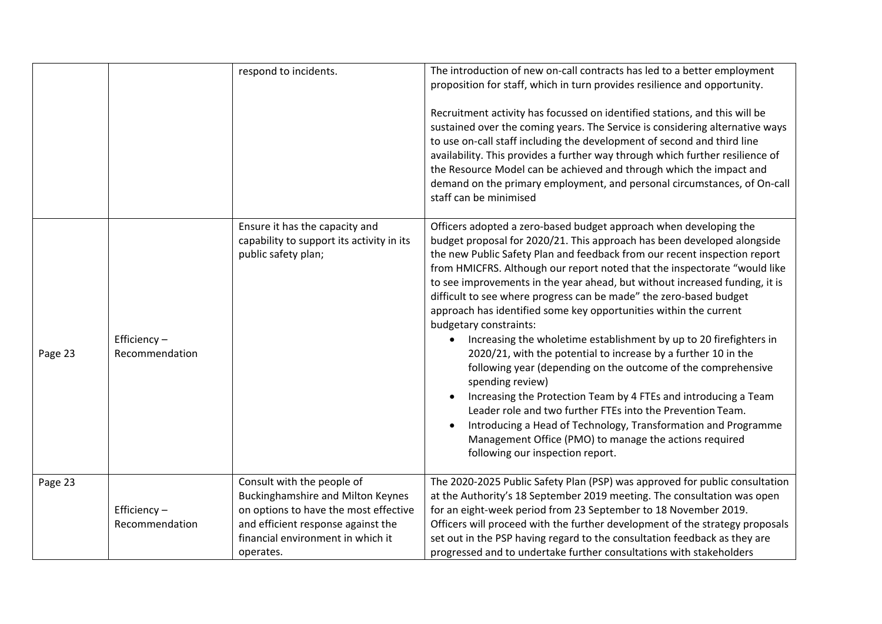|         |                               | respond to incidents.                                                                                                                                                                                   | The introduction of new on-call contracts has led to a better employment<br>proposition for staff, which in turn provides resilience and opportunity.<br>Recruitment activity has focussed on identified stations, and this will be<br>sustained over the coming years. The Service is considering alternative ways<br>to use on-call staff including the development of second and third line<br>availability. This provides a further way through which further resilience of<br>the Resource Model can be achieved and through which the impact and<br>demand on the primary employment, and personal circumstances, of On-call<br>staff can be minimised                                                                                                                                                                                                                                                                                                                                                                                                                             |
|---------|-------------------------------|---------------------------------------------------------------------------------------------------------------------------------------------------------------------------------------------------------|------------------------------------------------------------------------------------------------------------------------------------------------------------------------------------------------------------------------------------------------------------------------------------------------------------------------------------------------------------------------------------------------------------------------------------------------------------------------------------------------------------------------------------------------------------------------------------------------------------------------------------------------------------------------------------------------------------------------------------------------------------------------------------------------------------------------------------------------------------------------------------------------------------------------------------------------------------------------------------------------------------------------------------------------------------------------------------------|
| Page 23 | Efficiency-<br>Recommendation | Ensure it has the capacity and<br>capability to support its activity in its<br>public safety plan;                                                                                                      | Officers adopted a zero-based budget approach when developing the<br>budget proposal for 2020/21. This approach has been developed alongside<br>the new Public Safety Plan and feedback from our recent inspection report<br>from HMICFRS. Although our report noted that the inspectorate "would like<br>to see improvements in the year ahead, but without increased funding, it is<br>difficult to see where progress can be made" the zero-based budget<br>approach has identified some key opportunities within the current<br>budgetary constraints:<br>Increasing the wholetime establishment by up to 20 firefighters in<br>2020/21, with the potential to increase by a further 10 in the<br>following year (depending on the outcome of the comprehensive<br>spending review)<br>Increasing the Protection Team by 4 FTEs and introducing a Team<br>Leader role and two further FTEs into the Prevention Team.<br>Introducing a Head of Technology, Transformation and Programme<br>Management Office (PMO) to manage the actions required<br>following our inspection report. |
| Page 23 | Efficiency-<br>Recommendation | Consult with the people of<br><b>Buckinghamshire and Milton Keynes</b><br>on options to have the most effective<br>and efficient response against the<br>financial environment in which it<br>operates. | The 2020-2025 Public Safety Plan (PSP) was approved for public consultation<br>at the Authority's 18 September 2019 meeting. The consultation was open<br>for an eight-week period from 23 September to 18 November 2019.<br>Officers will proceed with the further development of the strategy proposals<br>set out in the PSP having regard to the consultation feedback as they are<br>progressed and to undertake further consultations with stakeholders                                                                                                                                                                                                                                                                                                                                                                                                                                                                                                                                                                                                                            |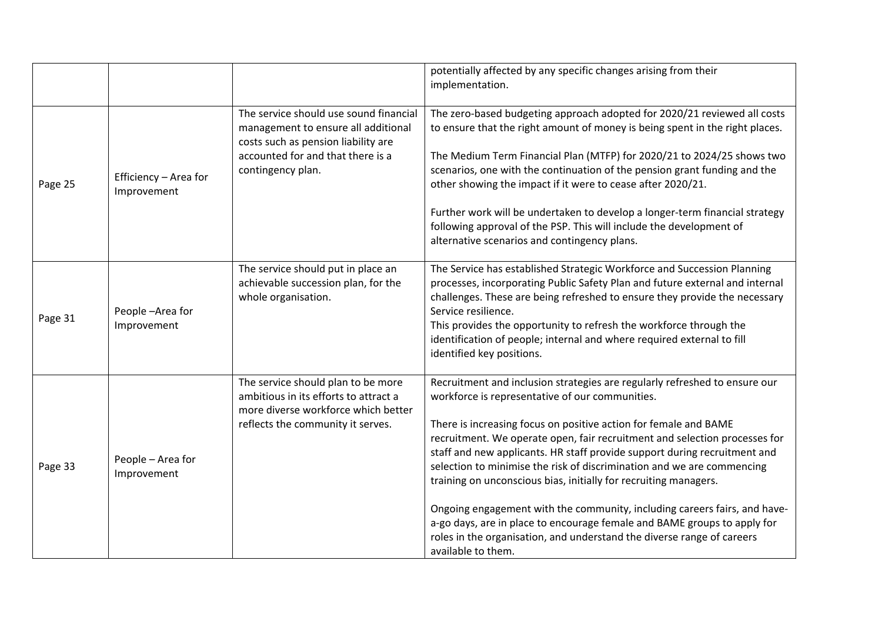|         |                                      |                                                                                                                                                                                | potentially affected by any specific changes arising from their<br>implementation.                                                                                                                                                                                                                                                                                                                                                                                                                                                                                                                                                                                                                                                                                  |
|---------|--------------------------------------|--------------------------------------------------------------------------------------------------------------------------------------------------------------------------------|---------------------------------------------------------------------------------------------------------------------------------------------------------------------------------------------------------------------------------------------------------------------------------------------------------------------------------------------------------------------------------------------------------------------------------------------------------------------------------------------------------------------------------------------------------------------------------------------------------------------------------------------------------------------------------------------------------------------------------------------------------------------|
| Page 25 | Efficiency - Area for<br>Improvement | The service should use sound financial<br>management to ensure all additional<br>costs such as pension liability are<br>accounted for and that there is a<br>contingency plan. | The zero-based budgeting approach adopted for 2020/21 reviewed all costs<br>to ensure that the right amount of money is being spent in the right places.<br>The Medium Term Financial Plan (MTFP) for 2020/21 to 2024/25 shows two<br>scenarios, one with the continuation of the pension grant funding and the<br>other showing the impact if it were to cease after 2020/21.<br>Further work will be undertaken to develop a longer-term financial strategy<br>following approval of the PSP. This will include the development of<br>alternative scenarios and contingency plans.                                                                                                                                                                                |
| Page 31 | People-Area for<br>Improvement       | The service should put in place an<br>achievable succession plan, for the<br>whole organisation.                                                                               | The Service has established Strategic Workforce and Succession Planning<br>processes, incorporating Public Safety Plan and future external and internal<br>challenges. These are being refreshed to ensure they provide the necessary<br>Service resilience.<br>This provides the opportunity to refresh the workforce through the<br>identification of people; internal and where required external to fill<br>identified key positions.                                                                                                                                                                                                                                                                                                                           |
| Page 33 | People - Area for<br>Improvement     | The service should plan to be more<br>ambitious in its efforts to attract a<br>more diverse workforce which better<br>reflects the community it serves.                        | Recruitment and inclusion strategies are regularly refreshed to ensure our<br>workforce is representative of our communities.<br>There is increasing focus on positive action for female and BAME<br>recruitment. We operate open, fair recruitment and selection processes for<br>staff and new applicants. HR staff provide support during recruitment and<br>selection to minimise the risk of discrimination and we are commencing<br>training on unconscious bias, initially for recruiting managers.<br>Ongoing engagement with the community, including careers fairs, and have-<br>a-go days, are in place to encourage female and BAME groups to apply for<br>roles in the organisation, and understand the diverse range of careers<br>available to them. |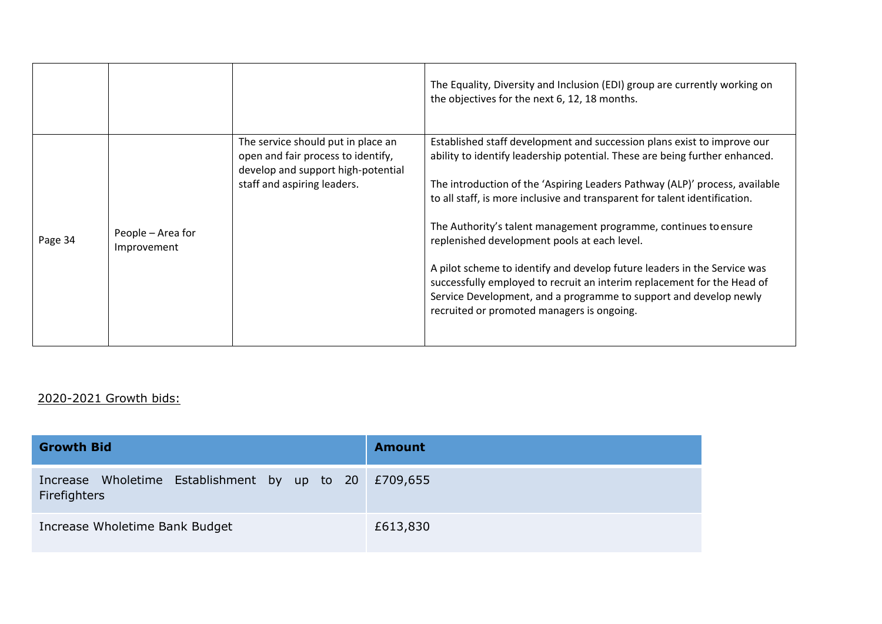|         |                                  |                                                                                                                                               | The Equality, Diversity and Inclusion (EDI) group are currently working on<br>the objectives for the next 6, 12, 18 months.                                                                                                                                                                                                                                                                                                                                                                                                                                                                                                                                                                                       |
|---------|----------------------------------|-----------------------------------------------------------------------------------------------------------------------------------------------|-------------------------------------------------------------------------------------------------------------------------------------------------------------------------------------------------------------------------------------------------------------------------------------------------------------------------------------------------------------------------------------------------------------------------------------------------------------------------------------------------------------------------------------------------------------------------------------------------------------------------------------------------------------------------------------------------------------------|
| Page 34 | People – Area for<br>Improvement | The service should put in place an<br>open and fair process to identify,<br>develop and support high-potential<br>staff and aspiring leaders. | Established staff development and succession plans exist to improve our<br>ability to identify leadership potential. These are being further enhanced.<br>The introduction of the 'Aspiring Leaders Pathway (ALP)' process, available<br>to all staff, is more inclusive and transparent for talent identification.<br>The Authority's talent management programme, continues to ensure<br>replenished development pools at each level.<br>A pilot scheme to identify and develop future leaders in the Service was<br>successfully employed to recruit an interim replacement for the Head of<br>Service Development, and a programme to support and develop newly<br>recruited or promoted managers is ongoing. |

## 2020-2021 Growth bids:

| <b>Growth Bid</b>                                                     | <b>Amount</b> |
|-----------------------------------------------------------------------|---------------|
| Increase Wholetime Establishment by up to 20 £709,655<br>Firefighters |               |
| Increase Wholetime Bank Budget                                        | £613,830      |